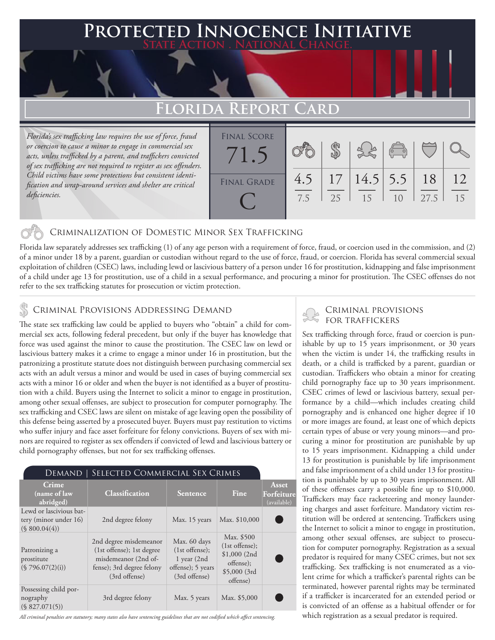### **PTED INNOCENCE INITIAT State Action . National Change.**

## FLORIDA REPOR

*Florida's sex trafficking law requires the use of force, fraud or coercion to cause a minor to engage in commercial sex acts, unless trafficked by a parent, and traffickers convicted of sex trafficking are not required to register as sex offenders. Child victims have some protections but consistent identification and wrap-around services and shelter are critical deficiencies.*

| <b>FINAL SCORE</b> |     |    |                      |                |      |    |
|--------------------|-----|----|----------------------|----------------|------|----|
|                    |     |    |                      | $\sqrt{2}$     |      |    |
|                    |     |    |                      |                |      |    |
|                    |     |    |                      |                |      |    |
| <b>FINAL GRADE</b> | 4.5 |    | 17   14.5   5.5   18 |                |      | 12 |
|                    |     | 25 | -15                  | 1 <sub>0</sub> | 27.5 | 15 |
|                    | 7.5 |    |                      |                |      |    |
|                    |     |    |                      |                |      |    |

#### Criminalization of Domestic Minor Sex Trafficking

Florida law separately addresses sex trafficking (1) of any age person with a requirement of force, fraud, or coercion used in the commission, and (2) of a minor under 18 by a parent, guardian or custodian without regard to the use of force, fraud, or coercion. Florida has several commercial sexual exploitation of children (CSEC) laws, including lewd or lascivious battery of a person under 16 for prostitution, kidnapping and false imprisonment of a child under age 13 for prostitution, use of a child in a sexual performance, and procuring a minor for prostitution. The CSEC offenses do not refer to the sex trafficking statutes for prosecution or victim protection.

### CRIMINAL PROVISIONS ADDRESSING DEMAND

The state sex trafficking law could be applied to buyers who "obtain" a child for commercial sex acts, following federal precedent, but only if the buyer has knowledge that force was used against the minor to cause the prostitution. The CSEC law on lewd or lascivious battery makes it a crime to engage a minor under 16 in prostitution, but the patronizing a prostitute statute does not distinguish between purchasing commercial sex acts with an adult versus a minor and would be used in cases of buying commercial sex acts with a minor 16 or older and when the buyer is not identified as a buyer of prostitution with a child. Buyers using the Internet to solicit a minor to engage in prostitution, among other sexual offenses, are subject to prosecution for computer pornography. The sex trafficking and CSEC laws are silent on mistake of age leaving open the possibility of this defense being asserted by a prosecuted buyer. Buyers must pay restitution to victims who suffer injury and face asset forfeiture for felony convictions. Buyers of sex with minors are required to register as sex offenders if convicted of lewd and lascivious battery or child pornography offenses, but not for sex trafficking offenses.

| SELECTED COMMERCIAL SEX CRIMES<br>Demand 1                        |                                                                                                                           |                                                                                           |                                                                                         |                                           |  |  |  |
|-------------------------------------------------------------------|---------------------------------------------------------------------------------------------------------------------------|-------------------------------------------------------------------------------------------|-----------------------------------------------------------------------------------------|-------------------------------------------|--|--|--|
| Crime<br>(name of law<br>abridged)                                | Classification                                                                                                            | <b>Sentence</b>                                                                           | Fine                                                                                    | Asset<br><b>Forfeiture</b><br>(available) |  |  |  |
| Lewd or lascivious bat-<br>tery (minor under 16)<br>(S 800.04(4)) | 2nd degree felony                                                                                                         | Max. 15 years                                                                             | Max. \$10,000                                                                           |                                           |  |  |  |
| Patronizing a<br>prostitute<br>(\$796.07(2)(i))                   | 2nd degree misdemeanor<br>(1st offense); 1st degree<br>misdemeanor (2nd of-<br>fense); 3rd degree felony<br>(3rd offense) | Max. 60 days<br>$(1st$ offense);<br>$1$ year $(2nd$<br>offense); 5 years<br>(3rd offense) | Max. \$500<br>$(1st$ offense);<br>\$1,000(2nd)<br>offense);<br>\$5,000(3rd)<br>offense) |                                           |  |  |  |
| Possessing child por-<br>nography<br>(S 827.071(5))               | 3rd degree felony                                                                                                         | Max. 5 years                                                                              | Max. \$5,000                                                                            |                                           |  |  |  |

*All criminal penalties are statutory; many states also have sentencing guidelines that are not codified which affect sentencing.* 

#### Criminal provisions for traffickers

Sex trafficking through force, fraud or coercion is punishable by up to 15 years imprisonment, or 30 years when the victim is under 14, the trafficking results in death, or a child is trafficked by a parent, guardian or custodian. Traffickers who obtain a minor for creating child pornography face up to 30 years imprisonment. CSEC crimes of lewd or lascivious battery, sexual performance by a child—which includes creating child pornography and is enhanced one higher degree if 10 or more images are found, at least one of which depicts certain types of abuse or very young minors—and procuring a minor for prostitution are punishable by up to 15 years imprisonment. Kidnapping a child under 13 for prostitution is punishable by life imprisonment and false imprisonment of a child under 13 for prostitution is punishable by up to 30 years imprisonment. All of these offenses carry a possible fine up to \$10,000. Traffickers may face racketeering and money laundering charges and asset forfeiture. Mandatory victim restitution will be ordered at sentencing. Traffickers using the Internet to solicit a minor to engage in prostitution, among other sexual offenses, are subject to prosecution for computer pornography. Registration as a sexual predator is required for many CSEC crimes, but not sex trafficking. Sex trafficking is not enumerated as a violent crime for which a trafficker's parental rights can be terminated, however parental rights may be terminated if a trafficker is incarcerated for an extended period or is convicted of an offense as a habitual offender or for which registration as a sexual predator is required.